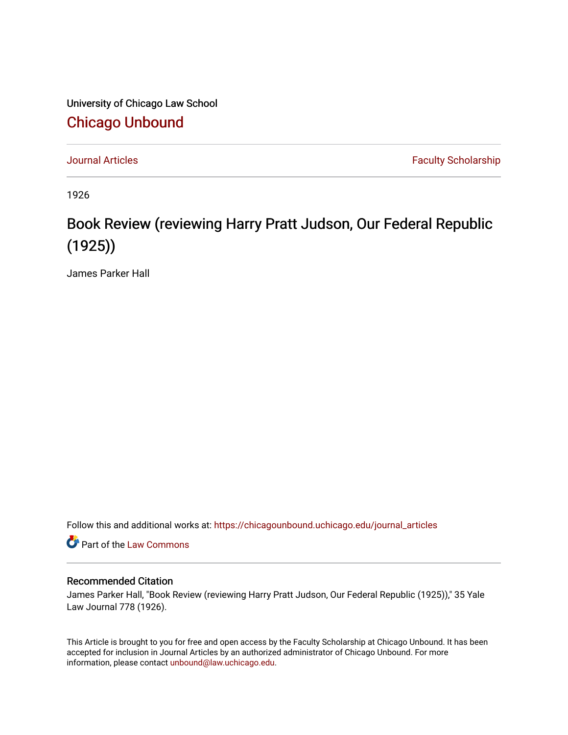University of Chicago Law School [Chicago Unbound](https://chicagounbound.uchicago.edu/)

[Journal Articles](https://chicagounbound.uchicago.edu/journal_articles) **Faculty Scholarship Journal Articles** 

1926

## Book Review (reviewing Harry Pratt Judson, Our Federal Republic (1925))

James Parker Hall

Follow this and additional works at: [https://chicagounbound.uchicago.edu/journal\\_articles](https://chicagounbound.uchicago.edu/journal_articles?utm_source=chicagounbound.uchicago.edu%2Fjournal_articles%2F8930&utm_medium=PDF&utm_campaign=PDFCoverPages) 

Part of the [Law Commons](http://network.bepress.com/hgg/discipline/578?utm_source=chicagounbound.uchicago.edu%2Fjournal_articles%2F8930&utm_medium=PDF&utm_campaign=PDFCoverPages)

## Recommended Citation

James Parker Hall, "Book Review (reviewing Harry Pratt Judson, Our Federal Republic (1925))," 35 Yale Law Journal 778 (1926).

This Article is brought to you for free and open access by the Faculty Scholarship at Chicago Unbound. It has been accepted for inclusion in Journal Articles by an authorized administrator of Chicago Unbound. For more information, please contact [unbound@law.uchicago.edu](mailto:unbound@law.uchicago.edu).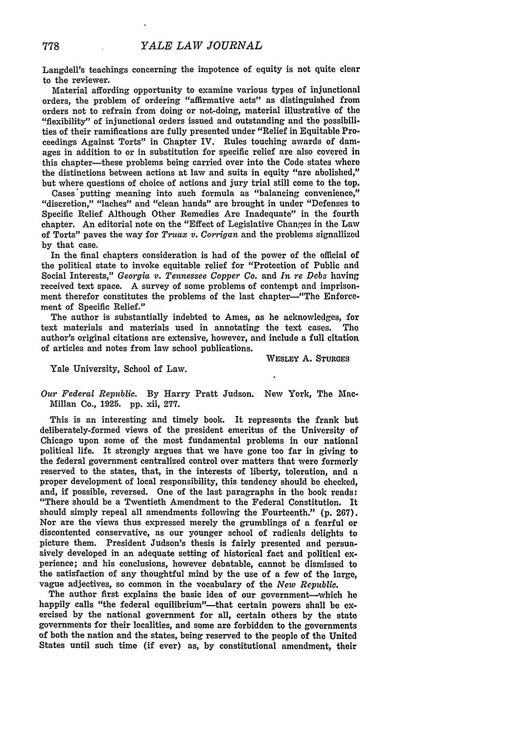Langdell's teachings concerning the impotence of equity is not quite clear to the reviewer.

Material affording opportunity to examine various types of injunctional orders, the problem of ordering "affirmative acts" as distinguished from orders not to refrain from doing or not-doing, material illustrative of the "flexibility" of injunctional orders issued and outstanding and the possibilities of their ramifications are fully presented under "Relief in Equitable Proceedings Against Torts" in Chapter IV. Rules touching awards of damages in addition to or in substitution for specific relief are also covered in this chapter-these problems being carried over into the Code states where the distinctions between actions at law and suits in equity "are abolished," but where questions of choice of actions and jury trial still come to the top.

Cases putting meaning into such formula as "balancing convenience," "discretion," "laches" and "clean hands" are brought in under "Defenses to Specific Relief Although Other Remedies Are Inadequate" in the fourth chapter. An editorial note on the "Effect of Legislative Changes in the Law of Torts" paves the way for *Truax v. Corrigan* and the problems signallized by that case.

In the final chapters consideration is had of the power of the official of the political state to invoke equitable relief for "Protection of Public and Social Interests," *Georgia v. Tennessee Copper Co.* and *In re Debs* having received text space. A survey of some problems of contempt and imprisonment therefor constitutes the problems of the last chapter--"The Enforcement of Specific Relief."

The author is substantially indebted to Ames, as he acknowledges, for text materials and materials used in annotating the text cases. The author's original citations are extensive, however, and include a full citation, of articles and notes from law school publications.

**WESLEY A. STURGES**

Yale University, School of Law.

*Our Federal Republic.* By Harry Pratt Judson. New York, The Mac-Millan Co., **1925. pp.** xii, **277.**

This is an interesting and timely book. It represents the frank but deliberately-formed views of the president emeritus of the University of Chicago upon some of the most fundamental problems in our national political life. It strongly argues that we have gone too far in giving to the federal government centralized control over matters that were formerly reserved to the states, that, in the interests of liberty, toleration, and **a** proper development of local responsibility, this tendency should **be checked,** and, if possible, reversed. One of the last paragraphs in the book reads: "There should be a Twentieth Amendment to the Federal Constitution. It should simply repeal all amendments following the Fourteenth." **(p. 267).** Nor are the views thus expressed merely the grumblings of a fearful or discontented conservative, as our younger school of radicals delights to picture them. President Judson's thesis is fairly presented and persuasively developed in an adequate setting of historical fact and political experience; and his conclusions, however debatable, cannot be dismissed to the satisfaction of any thoughtful mind by the use of a few of the large, vague adjectives, so common in the vocabulary of the *New Republic.*

The author first explains the basic idea of our government-which he happily calls "the federal equilibrium"---that certain powers shall be exercised by the national government for all, certain others by the state governments for their localities, and some are forbidden to the governments of both the nation and the states, being reserved to the people of the United States until such time (if ever) as, by constitutional amendment, their